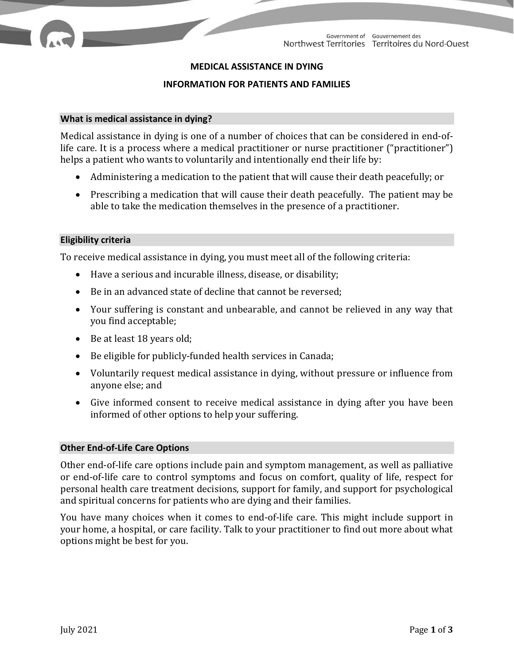# **MEDICAL ASSISTANCE IN DYING**

### **INFORMATION FOR PATIENTS AND FAMILIES**

#### **What is medical assistance in dying?**

Medical assistance in dying is one of a number of choices that can be considered in end-oflife care. It is a process where a medical practitioner or nurse practitioner ("practitioner") helps a patient who wants to voluntarily and intentionally end their life by:

- Administering a medication to the patient that will cause their death peacefully; or
- Prescribing a medication that will cause their death peacefully. The patient may be able to take the medication themselves in the presence of a practitioner.

### **Eligibility criteria**

To receive medical assistance in dying, you must meet all of the following criteria:

- Have a serious and incurable illness, disease, or disability;
- Be in an advanced state of decline that cannot be reversed;
- Your suffering is constant and unbearable, and cannot be relieved in any way that you find acceptable;
- Be at least 18 years old;
- Be eligible for publicly-funded health services in Canada;
- Voluntarily request medical assistance in dying, without pressure or influence from anyone else; and
- Give informed consent to receive medical assistance in dying after you have been informed of other options to help your suffering.

### **Other End-of-Life Care Options**

Other end-of-life care options include pain and symptom management, as well as palliative or end-of-life care to control symptoms and focus on comfort, quality of life, respect for personal health care treatment decisions, support for family, and support for psychological and spiritual concerns for patients who are dying and their families.

You have many choices when it comes to end-of-life care. This might include support in your home, a hospital, or care facility. Talk to your practitioner to find out more about what options might be best for you.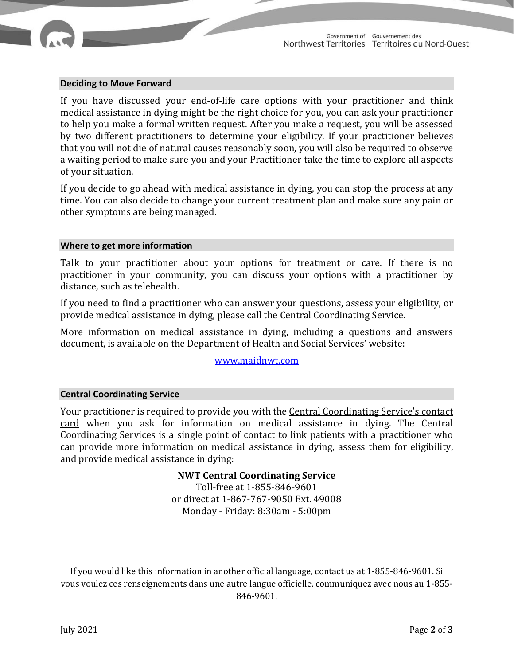

## **Deciding to Move Forward**

If you have discussed your end-of-life care options with your practitioner and think medical assistance in dying might be the right choice for you, you can ask your practitioner to help you make a formal written request. After you make a request, you will be assessed by two different practitioners to determine your eligibility. If your practitioner believes that you will not die of natural causes reasonably soon, you will also be required to observe a waiting period to make sure you and your Practitioner take the time to explore all aspects of your situation.

If you decide to go ahead with medical assistance in dying, you can stop the process at any time. You can also decide to change your current treatment plan and make sure any pain or other symptoms are being managed.

#### **Where to get more information**

Talk to your practitioner about your options for treatment or care. If there is no practitioner in your community, you can discuss your options with a practitioner by distance, such as telehealth.

If you need to find a practitioner who can answer your questions, assess your eligibility, or provide medical assistance in dying, please call the Central Coordinating Service.

More information on medical assistance in dying, including a questions and answers document, is available on the Department of Health and Social Services' website:

[www.maidnwt.com](http://www.hss.gov.nt.ca/en/services/medical-assistance-dying)

### **Central Coordinating Service**

Your practitioner is required to provide you with the Central Coordinating Service's contact card when you ask for information on medical assistance in dying. The Central Coordinating Services is a single point of contact to link patients with a practitioner who can provide more information on medical assistance in dying, assess them for eligibility, and provide medical assistance in dying:

# **NWT Central Coordinating Service**

Toll-free at 1-855-846-9601 or direct at 1-867-767-9050 Ext. 49008 Monday - Friday: 8:30am - 5:00pm

If you would like this information in another official language, contact us at 1-855-846-9601. Si vous voulez ces renseignements dans une autre langue officielle, communiquez avec nous au 1-855- 846-9601.